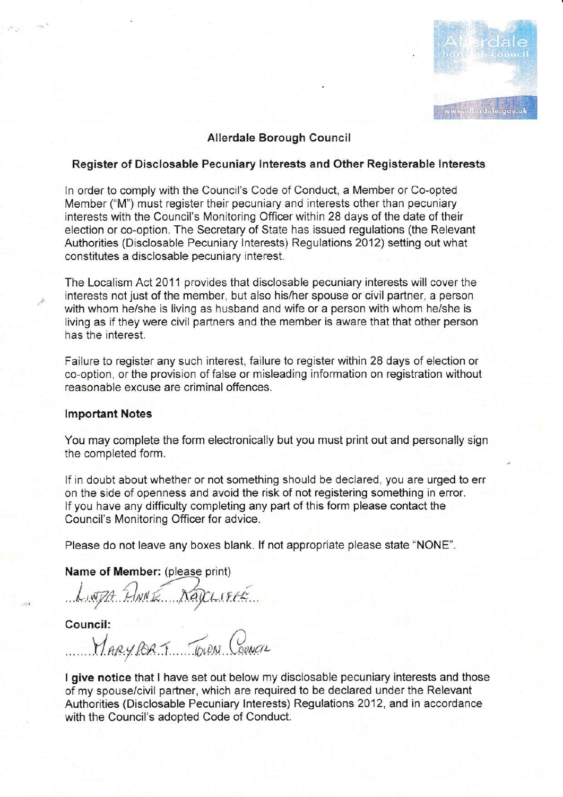# $\frac{|\mathbf{A}|}{\mathbf{b} \cdot \mathbf{c}}$ www.allerdale.gov.uk

### Allerdale Borough Council

#### Register of Disclosable Pecuniary lnterests and Other Registerable lnterests

ln order to comply with the Council's Code of Conduct, a Member or Co-opted Member ("M") must register their pecuniary and interests other than pecuniary interests with the Council's Monitoring Officer within 28 days of the date of their election or co-option. The Secretary of State has issued regulations (the Relevant Authorities (Disclosable Pecuniary lnterests) Regulations 2012) setting out what constitutes a disciosable pecuniary interest.

The Localism Act 2011 provides that disclosable pecuniary interests will cover the interests not just of the member, but also his/her spouse or civil partner, a person with whom he/she is living as husband and wife or a person with whom he/she is living as if they were civil partners and the member is aware that that other person has the interest.

Failure to register any such interest, failure to register within 28 days of election or co-option, or the provision of false or misleading information on registration without reasonable excuse are criminal offences.

#### lmportant Notes

You may complete the form electronically but you must print out and personally sign the completed form.

lf in doubt about whether or not something should be declared, you are urged to err on the side of openness and avoid the risk of not registering something in error. If you have any difficulty completing any part of this form please contact the Council's Monitoring Officer for advice.

Please do not leave any boxes blank. lf not appropriate please state "NONE".

Name of Member: (please print)

LINJA ANNE NageriFEE

Council:

MARY PORT TOWN COUNCIL

I give notice that I have set out below my disclosable pecuniary interests and those of my spouse/civil partner, which are required to be declared under the Relevant Authorities (Disclosable Pecuniary lnterests) Regulations 2012, and in accordance with the Council's adopted Code of Conduct.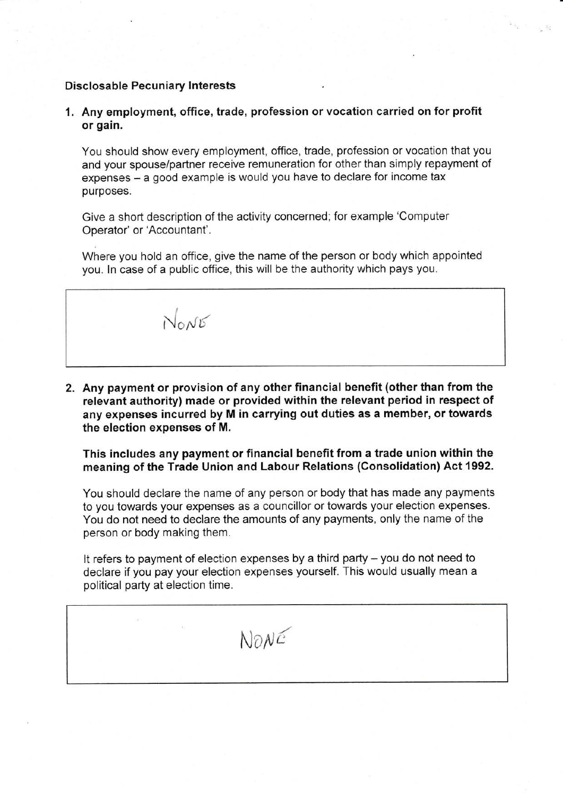### Disclosable Pecuniary lnterests

1. Any employment, office, trade, profession orvocation carried on for profit or gain.

You should show every employment, office, trade, profession or vocation that you and your spouse/partner receive remuneration for other than simply repayment of expenses - a good example is would you have to declare for income tax purposes.

Give a short description of the activity concerned; for example 'Computer Operator' or'Accountant'.

Where you hold an office, give the name of the person or body which appointed you. ln case of a public office, this will be the authority which pays you.

 $N_{\rm o}N_{\rm E}$ 

2. Any payment or provision of any other financial benefit (other than from the relevant authority) made or provided within the relevant period in respect of any expenses incurred by M in carrying out duties as a member, or towards the election expenses of M.

This includes any payment or financial benefit from a trade union within the meaning of the Trade Union and Labour Relations (Consolidation) Act 1992.

You should declare the name of any person or body that has made any payments to you towards your expenses as a councillor or towards your election expenses. You do not need to declare the amounts of any payments, only the name of the person or body making them.

It refers to payment of election expenses by a third party - you do not need to declare if you pay your election expenses yourself. This would usually mean a political party at election time.

 $N$ <sub>O</sub> $N$  $\epsilon$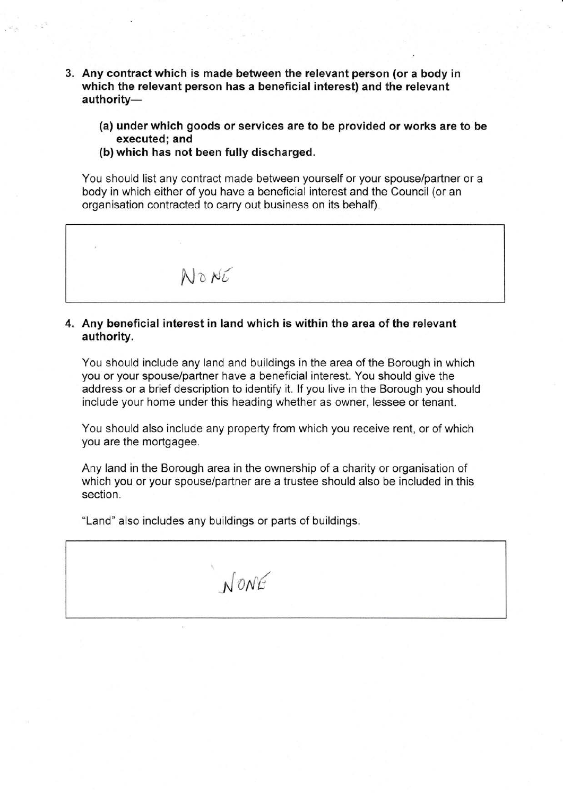- 3. Any contract which is made between the relevant person (or a body in which the relevant person has a beneficial interest) and the relevant authority-
	- (a) under which goods or services are to be provided or works are to be executed; and
	- (b) which has not been fully discharged.

You should list any contract made between yourself or your spouse/partner or a body in which either of you have a beneficial interest and the Council (or an organisation contracted to carry out business on its behalf).



## 4. Any beneficial interest in land which is within the area of the relevant authority.

You should include any land and buildings in the area of the Borough in which you or your spouse/partner have a beneficial interest. You should give the address or a brief description to identify it. lf you live in the Borough you should include your home under this heading whether as owner, lessee or tenant.

You should also include any property from which you receive rent, or of which you are the mortgagee.

Any land in the Borough area in the ownership of a charity or organisation of which you or your spouse/partner are a trustee should also be included in this section.

"Land" also includes any buildings or parts of buildings.

 $N$ ONE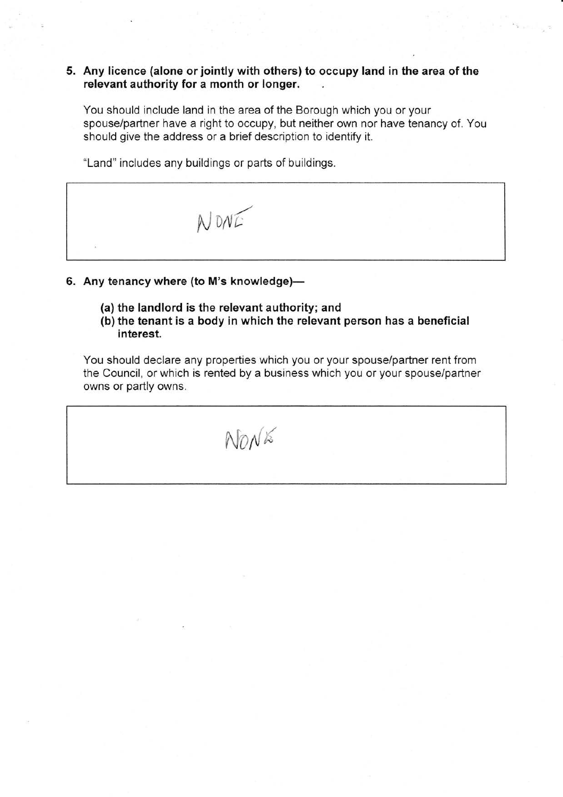## 5. Any licence (alone or jointly with others) to occupy land in the area of the relevant authority for a month or longer.

You should include land in the area of the Borough which you or your spouse/partner have a right to occupy, but neither own nor have tenancy of. You should give the address or a brief description to identify it.

"Land" includes any buildings or parts of buildings.



- 6. Any tenancy where (to M's knowledge)-
	- (a) the landlord is the relevant authority; and
	- (b) the tenant is a body in which the relevant person has a beneficial interest.

You should declare any properties which you or your spouse/partner rent from the Council, or which is rented by a business which you or your spouse/partner owns or partly owns.

 $NnN$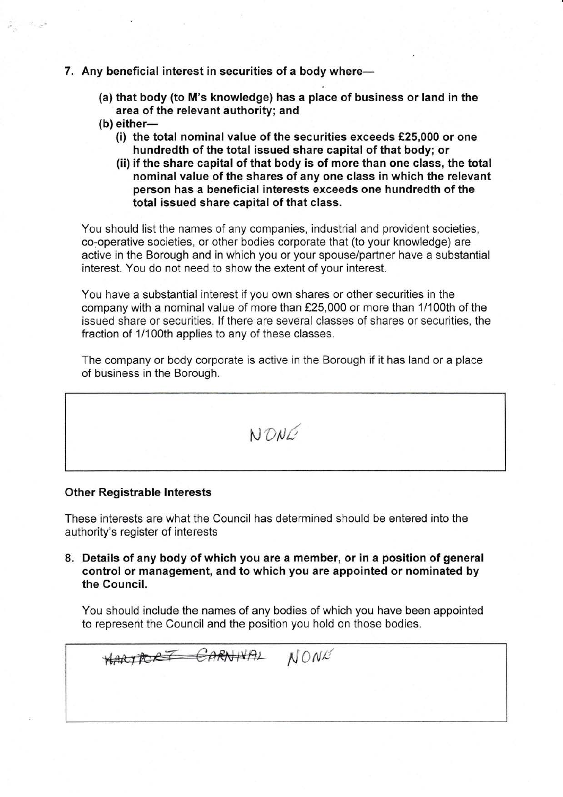#### 7. Any beneficial interest in securities of a body where-

- (a) that body (to M's knowledge) has a place of business or land in the area of the relevant authority; and
- $(b)$  either-

 $\hat{\varphi}_{\hat{\alpha}} = \hat{\sigma}_{\hat{\alpha}} \hat{\varphi}^{\hat{\alpha}}$ 

- (i) the total nominal value of the securities exceeds €25,000 or one hundredth of the total issued share capital of that body; or
- (ii) if the share capital of that body is of more than one class, the total nominal value of the shares of any one class in which the relevant person has a beneficial interests exceeds one hundredth of the total issued share capital of that class.

You should list the names of any companies, industrial and provident societies, co-operative societies, or other bodies corporate that (to your knowledge) are active in the Borough and in which you or your spouse/partner have a substantial interest. You do not need to show the extent of your interest.

You have a substantial interest if you own shares or other securities in the company with a nominal value of more than €25,000 or more than 1/100th of the issued share or securities. lf there are several classes of shares or securities, the fraction of 1/100th applies to any of these classes.

The company or body corporate is active in the Borough if it has land or a place of business in the Borough.

 $NDMC$ 

#### Other Registrable lnterests

These interests are what the Council has determined should be entered into the authority's register of interests

8. Details of any body of which you are a member, or in a position of general control or management, and to which you are appointed or nominated by the Council.

You should include the names of any bodies of which you have been appointed to represent the Council and the position you hold on those bodies.

HARTPORT CARNIVAL NONE